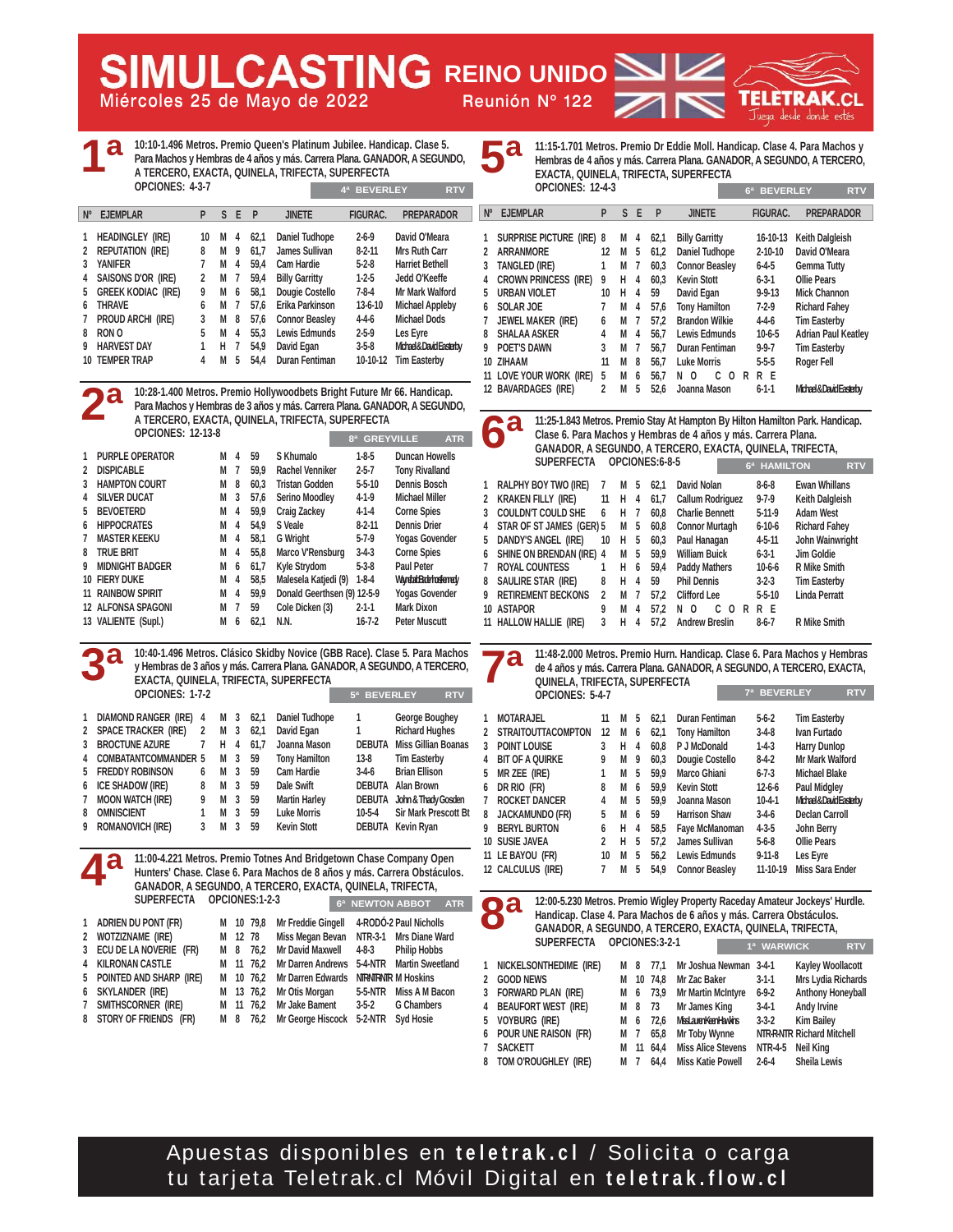**Miércoles 25 de Mayo de 2022 Reunión Nº 122 AULCASTING REINO UNIDO** 



**10:10-1.496 Metros. Premio Queen's Platinum Jubilee. Handicap. Clase 5. Para Machos y Hembras de 4 años y más. Carrera Plana. GANADOR, A SEGUNDO, A TERCERO, EXACTA, QUINELA, TRIFECTA, SUPERFECTA OPCIONES: 4-3-7 1ª 4ª BEVERLEY RTV**

| $N^{\circ}$ | <b>EJEMPLAR</b>           | P  | ς | F | P    | <b>JINETE</b>         | <b>FIGURAC.</b> | <b>PREPARADOR</b>      |
|-------------|---------------------------|----|---|---|------|-----------------------|-----------------|------------------------|
|             | <b>HEADINGLEY (IRE)</b>   | 10 | М | 4 | 62.1 | Daniel Tudhope        | $2 - 6 - 9$     | David O'Meara          |
|             |                           |    |   |   |      |                       |                 |                        |
| 2           | <b>REPUTATION (IRE)</b>   | 8  | М | 9 | 61.7 | James Sullivan        | $8 - 2 - 11$    | Mrs Ruth Carr          |
|             | <b>YANIFER</b>            |    | М | 4 | 59.4 | Cam Hardie            | $5-2-8$         | <b>Harriet Bethell</b> |
| 4           | SAISONS D'OR (IRE)        | 2  | М | 7 | 59.4 | <b>Billy Garritty</b> | $1-2-5$         | Jedd O'Keeffe          |
| 5           | <b>GREEK KODIAC (IRE)</b> | 9  | М | 6 | 58.1 | Dougie Costello       | $7 - 8 - 4$     | Mr Mark Walford        |
| 6           | <b>THRAVE</b>             | 6  | М | 7 | 57.6 | Erika Parkinson       | $13-6-10$       | <b>Michael Appleby</b> |
|             | PROUD ARCHI (IRE)         | 3  | М | 8 | 57.6 | <b>Connor Beasley</b> | $4 - 4 - 6$     | <b>Michael Dods</b>    |
| 8           | RON O                     | 5  | М | 4 | 55.3 | <b>Lewis Edmunds</b>  | $2 - 5 - 9$     | Les Eyre               |
|             | <b>HARVEST DAY</b>        | 1  | н | 7 | 54,9 | David Egan            | $3 - 5 - 8$     | Michael&DavidEasterby  |
| 10          | <b>TEMPER TRAP</b>        | 4  | М | 5 | 54.4 | <b>Duran Fentiman</b> | 10-10-12        | <b>Tim Easterby</b>    |

**10:28-1.400 Metros. Premio Hollywoodbets Bright Future Mr 66. Handicap. Para Machos y Hembras de 3 años y más. Carrera Plana. GANADOR, A SEGUNDO, A TERCERO, EXACTA, QUINELA, TRIFECTA, SUPERFECTA OPCIONES: 12-13-8 1 PURPLE OPERATOR M 4 59 S Khumalo 1-8-5 Duncan Howells**  2 **DISPICABLE M 7 599 Rachel Venniker 2-5-7 3 HAMPTON COURT M 8 60,3 Tristan Godden 5-5-10 Dennis Bosch 4 SILVER DUCAT M 3 57,6 Serino Moodley 4-1-9 Michael Miller 5 BEVOETERD M 4 59,9 Craig Zackey 4-1-4 Corne Spies 6 HIPPOCRATES M 4 54,9 S Veale 8-2-11 Dennis Drier 7 MASTER KEEKU M 4 58,1 G Wright 5-7-9 Yogas Govender 8 TRUE BRIT M 4 55,8 Marco V'Rensburg 3-4-3 Corne Spies 9 MIDNIGHT BADGER M 6 61,7 Kyle Strydom 5-3-8 Paul Peter**  10 FIERY DUKE M 4 58,5 Malesela Katjedi (9) 1-8-4 Wayntat Bath to Horse **11 RAINBOW SPIRIT M 4 59,9 Donald Geerthsen (9) 12-5-9 Yogas Govender 12 ALFONSA SPAGONI M 7 59 Cole Dicken (3) 2-1-1 Mark Dixon 13 VALIENTE (Supl.) M 6 62,1 N.N. 16-7-2 Peter Muscutt 8ª GREYVILLE ATR 2ª**

**10:40-1.496 Metros. Clásico Skidby Novice (GBB Race). Clase 5. Para Machos y Hembras de 3 años y más. Carrera Plana. GANADOR, A SEGUNDO, A TERCERO, EXACTA, QUINELA, TRIFECTA, SUPERFECTA OPCIONES: 1-7-2 1 DIAMOND RANGER (IRE) 4 M 3 62,1 Daniel Tudhope 1 George Boughey 5ª BEVERLEY RTV 3ª**

|   | 2 SPACE TRACKER (IRE) 2 M 3 |   |                | 62.1 | David Egan           | 1.       | <b>Richard Hughes</b>             |
|---|-----------------------------|---|----------------|------|----------------------|----------|-----------------------------------|
|   | 3 BROCTUNE AZURE            | 7 | $H$ 4          | 61.7 | Joanna Mason         |          | <b>DEBUTA</b> Miss Gillian Boanas |
|   | 4 COMBATANTCOMMANDER 5 M 3  |   |                | 59   | <b>Tony Hamilton</b> | 13-8     | <b>Tim Easterby</b>               |
|   | 5 FREDDY ROBINSON           | 6 | M 3            | 59   | Cam Hardie           | $3-4-6$  | <b>Brian Ellison</b>              |
|   | 6 ICE SHADOW (IRE)          | 8 | M <sub>3</sub> | 59   | Dale Swift           |          | <b>DEBUTA Alan Brown</b>          |
|   | 7 MOON WATCH (IRE)          | 9 | M <sub>3</sub> | 59   | <b>Martin Harley</b> |          | DEBUTA John & Thady Gosden        |
| 8 | <b>OMNISCIENT</b>           | 1 | M <sub>3</sub> | 59   | <b>Luke Morris</b>   | $10-5-4$ | <b>Sir Mark Prescott Bt</b>       |
|   | 9 ROMANOVICH (IRE)          | 3 | M <sub>3</sub> | 59   | <b>Kevin Stott</b>   |          | DEBUTA Kevin Ryan                 |

**11:00-4.221 Metros. Premio Totnes And Bridgetown Chase Company Open Hunters' Chase. Clase 6. Para Machos de 8 años y más. Carrera Obstáculos. GANADOR, A SEGUNDO, A TERCERO, EXACTA, QUINELA, TRIFECTA, SUPERFECTA OPCIONES:1-2-3 NEWTON ABBOT 4ª**

| 1 ADRIEN DU PONT (FR)     |  | M 10 79,8 Mr Freddie Gingell 4-RODO-2 Paul Nicholls  |  |
|---------------------------|--|------------------------------------------------------|--|
| 2 WOTZIZNAME (IRE)        |  | M 12 78 Miss Megan Bevan NTR-3-1 Mrs Diane Ward      |  |
| 3 ECU DE LA NOVERIE (FR)  |  | M 8 76,2 Mr David Maxwell 4-8-3 Philip Hobbs         |  |
| 4 KILRONAN CASTLE         |  | M 11 76,2 Mr Darren Andrews 5-4-NTR Martin Sweetland |  |
| 5 POINTED AND SHARP (IRE) |  | M 10 76,2 Mr Darren Edwards NTRNTRNTR M Hoskins      |  |
| 6 SKYLANDER (IRE)         |  | M 13 76,2 Mr Otis Morgan 5-5-NTR Miss A M Bacon      |  |
| 7 SMITHSCORNER (IRE)      |  | M 11 76,2 Mr Jake Bament 3-5-2 G Chambers            |  |
| 8 STORY OF FRIENDS (FR)   |  | M 8 76,2 Mr George Hiscock 5-2-NTR Syd Hosie         |  |

**11:15-1.701 Metros. Premio Dr Eddie Moll. Handicap. Clase 4. Para Machos y Hembras de 4 años y más. Carrera Plana. GANADOR, A SEGUNDO, A TERCERO, EXACTA, QUINELA, TRIFECTA, SUPERFECTA 5ª**

|             | <b>OPCIONES: 12-4-3</b>         |    |    | <b>BEVERLEY</b><br>6 <sup>a</sup> | <b>RTV</b> |                       |                 |                            |
|-------------|---------------------------------|----|----|-----------------------------------|------------|-----------------------|-----------------|----------------------------|
| $N^{\circ}$ | <b>EJEMPLAR</b>                 | P  | S. | E                                 | P          | <b>JINETE</b>         | <b>FIGURAC.</b> | <b>PREPARADOR</b>          |
|             | <b>SURPRISE PICTURE (IRE) 8</b> |    | м  | 4                                 | 62,1       | <b>Billy Garritty</b> | 16-10-13        | <b>Keith Dalgleish</b>     |
| 2           | <b>ARRANMORE</b>                | 12 | М  | 5                                 | 61,2       | Daniel Tudhope        | $2 - 10 - 10$   | David O'Meara              |
| 3           | <b>TANGLED (IRE)</b>            | 1  | М  | 7                                 | 60.3       | <b>Connor Beasley</b> | $6 - 4 - 5$     | <b>Gemma Tutty</b>         |
| 4           | <b>CROWN PRINCESS (IRE)</b>     | 9  | н  | 4                                 | 60.3       | <b>Kevin Stott</b>    | $6 - 3 - 1$     | <b>Ollie Pears</b>         |
| 5           | <b>URBAN VIOLET</b>             | 10 | н  | 4                                 | 59         | David Egan            | $9 - 9 - 13$    | <b>Mick Channon</b>        |
| 6           | SOLAR JOE                       | 7  | М  | 4                                 | 57.6       | <b>Tony Hamilton</b>  | $7-2-9$         | <b>Richard Fahey</b>       |
|             | <b>JEWEL MAKER (IRE)</b>        | 6  | м  | 7                                 | 57.2       | <b>Brandon Wilkie</b> | $4 - 4 - 6$     | <b>Tim Easterby</b>        |
| 8           | <b>SHALAA ASKER</b>             | 4  | М  | 4                                 | 56.7       | Lewis Edmunds         | $10-6-5$        | <b>Adrian Paul Keatley</b> |
| 9           | <b>POET'S DAWN</b>              | 3  | м  | 7                                 | 56.7       | Duran Fentiman        | $9-9-7$         | <b>Tim Easterby</b>        |
| 10          | ZIHAAM                          | 11 | М  | 8                                 | 56.7       | <b>Luke Morris</b>    | $5 - 5 - 5$     | Roger Fell                 |
|             | 11 LOVE YOUR WORK (IRE)         | 5  | М  | 6                                 | 56.7       | C<br>0<br>0<br>N      | R E<br>R        |                            |
|             | 12 BAVARDAGES (IRE)             | 2  | М  | 5                                 | 52.6       | Joanna Mason          | $6 - 1 - 1$     | Michael&DavidEasterby      |



| 1            | <b>RALPHY BOY TWO (IRE)</b> |    | M | 5 | 62.1 | David Nolan             | $8-6-8$      | <b>Ewan Whillans</b>   |
|--------------|-----------------------------|----|---|---|------|-------------------------|--------------|------------------------|
| $\mathbf{2}$ | <b>KRAKEN FILLY (IRE)</b>   | 11 | н | 4 | 61,7 | <b>Callum Rodriguez</b> | $9 - 7 - 9$  | <b>Keith Dalgleish</b> |
| 3            | <b>COULDN'T COULD SHE</b>   | 6  | н | 7 | 60.8 | <b>Charlie Bennett</b>  | $5-11-9$     | <b>Adam West</b>       |
| 4            | STAR OF ST JAMES (GER) 5    |    | M | 5 | 60.8 | <b>Connor Murtagh</b>   | $6 - 10 - 6$ | <b>Richard Fahey</b>   |
| 5            | <b>DANDY'S ANGEL (IRE)</b>  | 10 | н | 5 | 60.3 | Paul Hanagan            | $4 - 5 - 11$ | John Wainwright        |
| 6            | SHINE ON BRENDAN (IRE) 4    |    | M | 5 | 59.9 | <b>William Buick</b>    | $6 - 3 - 1$  | Jim Goldie             |
| 7            | <b>ROYAL COUNTESS</b>       |    | н | 6 | 59.4 | <b>Paddy Mathers</b>    | $10-6-6$     | <b>R</b> Mike Smith    |
| 8            | SAULIRE STAR (IRE)          | 8  | н | 4 | 59   | <b>Phil Dennis</b>      | $3-2-3$      | <b>Tim Easterby</b>    |
| 9            | <b>RETIREMENT BECKONS</b>   | 2  | м | 7 | 57.2 | <b>Clifford Lee</b>     | $5 - 5 - 10$ | <b>Linda Perratt</b>   |
|              | 10 ASTAPOR                  | 9  | м | 4 | 57.2 | N<br>- 0<br>C<br>0<br>R | R E          |                        |
|              | 11 HALLOW HALLIE (IRE)      | 3  | н | 4 | 57.2 | <b>Andrew Breslin</b>   | $8-6-7$      | <b>R</b> Mike Smith    |
|              |                             |    |   |   |      |                         |              |                        |

**11:48-2.000 Metros. Premio Hurn. Handicap. Clase 6. Para Machos y Hembras de 4 años y más. Carrera Plana. GANADOR, A SEGUNDO, A TERCERO, EXACTA, QUINELA, TRIFECTA, SUPERFECTA OPCIONES: 5-4-7 7ª BEVERLEY RTV 7ª**

|   | <b>MOTARAJEL</b>          | 11            | м | 5 | 62,1 | Duran Fentiman        | $5-6-2$      | <b>Tim Easterby</b>      |
|---|---------------------------|---------------|---|---|------|-----------------------|--------------|--------------------------|
| 2 | <b>STRAITOUTTACOMPTON</b> | 12            | м | 6 | 62,1 | <b>Tony Hamilton</b>  | $3-4-8$      | Ivan Furtado             |
| 3 | <b>POINT LOUISE</b>       | 3             | н | 4 | 60.8 | P J McDonald          | $1-4-3$      | <b>Harry Dunlop</b>      |
| 4 | <b>BIT OF A QUIRKE</b>    | 9             | М | 9 | 60.3 | Dougie Costello       | $8 - 4 - 2$  | <b>Mr Mark Walford</b>   |
| 5 | MR ZEE (IRE)              |               | М | 5 | 59.9 | Marco Ghiani          | $6 - 7 - 3$  | Michael Blake            |
| 6 | DR RIO (FR)               | 8             | М | 6 | 59.9 | <b>Kevin Stott</b>    | $12 - 6 - 6$ | Paul Midgley             |
| 7 | <b>ROCKET DANCER</b>      | 4             | M | 5 | 59.9 | Joanna Mason          | $10-4-1$     | Michael & David Easterby |
| 8 | <b>JACKAMUNDO (FR)</b>    | 5             | М | 6 | 59   | <b>Harrison Shaw</b>  | $3-4-6$      | <b>Declan Carroll</b>    |
| Q | <b>BERYL BURTON</b>       | 6             | н | 4 | 58.5 | Faye McManoman        | $4 - 3 - 5$  | John Berry               |
|   | 10 SUSIE JAVEA            | $\mathfrak z$ | н | 5 | 57.2 | James Sullivan        | $5-6-8$      | <b>Ollie Pears</b>       |
|   | 11 LE BAYOU (FR)          | 10            | м | 5 | 56.2 | Lewis Edmunds         | $9 - 11 - 8$ | Les Eyre                 |
|   | 12 CALCULUS (IRE)         |               | м | 5 | 54,9 | <b>Connor Beasley</b> | 11-10-19     | <b>Miss Sara Ender</b>   |
|   |                           |               |   |   |      |                       |              |                          |

**8ª**

**12:00-5.230 Metros. Premio Wigley Property Raceday Amateur Jockeys' Hurdle. Handicap. Clase 4. Para Machos de 6 años y más. Carrera Obstáculos. GANADOR, A SEGUNDO, A TERCERO, EXACTA, QUINELA, TRIFECTA, SUPERFECTA OPCIONES:3-2-1 WARWIC** 

| 1 Nickelsonthedime (IRE) |  | M 8 77,1 Mr Joshua Newman 3-4-1 |                   | Kayley Woollacott          |
|--------------------------|--|---------------------------------|-------------------|----------------------------|
|                          |  |                                 |                   |                            |
| 2 GOOD NEWS              |  | M 10 74,8 Mr Zac Baker          | $3-1-1$           | Mrs Lydia Richards         |
| 3 FORWARD PLAN (IRE)     |  | M 6 73,9 Mr Martin McIntyre     | $6 - 9 - 2$       | <b>Anthony Honeyball</b>   |
| 4 BEAUFORT WEST (IRE)    |  | M 8 73 Mr James King            | $3 - 4 - 1$       | Andy Irvine                |
| 5 Voyburg (Ire)          |  | M 6 72,6 MssLauenKeenHawkins    | $3 - 3 - 2$       | Kim Bailey                 |
| 6 Pour une raison (Fr)   |  | M 7 65,8 Mr Toby Wynne          |                   | NTR-R-NTR Richard Mitchell |
| 7 SACKETT                |  | M 11 64.4 Miss Alice Stevens    | NTR-4-5 Neil King |                            |
| 8 TOM O'ROUGHLEY (IRE)   |  | M 7 64,4 Miss Katie Powell      | $2 - 6 - 4$       | <b>Sheila Lewis</b>        |

Apuestas disponibles en **teletrak.cl** / Solicita o carga tu tarjeta Teletrak.cl Móvil Digital en **teletrak.flow.cl**